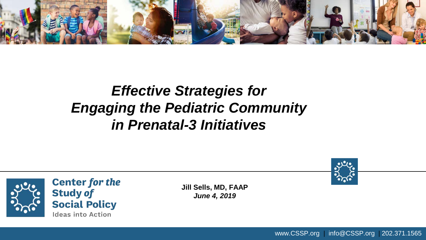

#### *Effective Strategies for Engaging the Pediatric Community in Prenatal-3 Initiatives*



www.CSSP.org | info@CSSP.org | 202.371.1565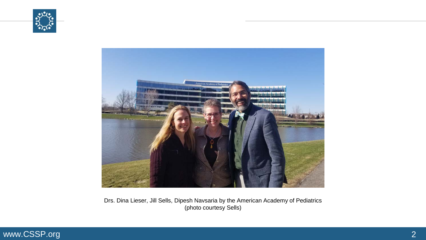



Drs. Dina Lieser, Jill Sells, Dipesh Navsaria by the American Academy of Pediatrics (photo courtesy Sells)

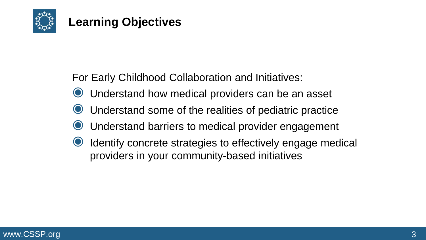

For Early Childhood Collaboration and Initiatives:

- ◉ Understand how medical providers can be an asset
- Understand some of the realities of pediatric practice
- Understand barriers to medical provider engagement
- Identify concrete strategies to effectively engage medical providers in your community-based initiatives

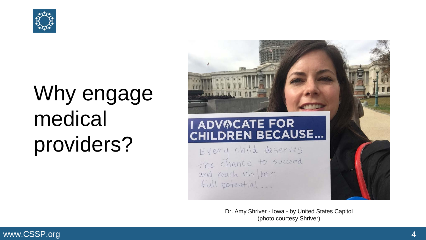

# Why engage medical providers?



Dr. Amy Shriver - Iowa - by United States Capitol (photo courtesy Shriver)

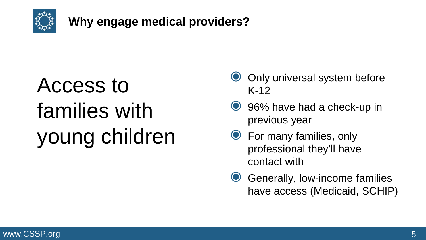

# Access to families with young children

- Only universal system before K-12
- ◉ 96% have had a check-up in previous year
- ◉ For many families, only professional they'll have contact with
- **◯** Generally, low-income families have access (Medicaid, SCHIP)

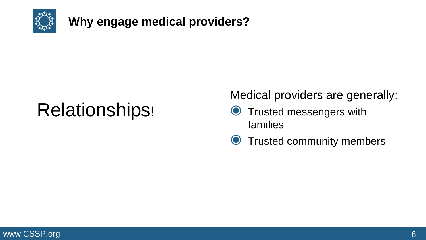

### Relationships!

Medical providers are generally:

- **S** Trusted messengers with families
- ◉ Trusted community members

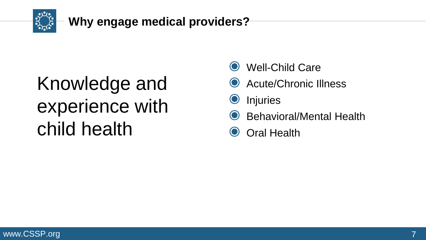

### Knowledge and experience with child health

- Well-Child Care
- Acute/Chronic Illness
- ◉ Injuries
- **Behavioral/Mental Health**
- **Oral Health**

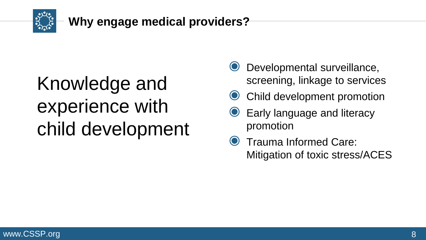

#### **Why engage medical providers?**

### Knowledge and experience with child development

- Developmental surveillance, screening, linkage to services
- Child development promotion
- ◉ Early language and literacy promotion
- Trauma Informed Care: Mitigation of toxic stress/ACES

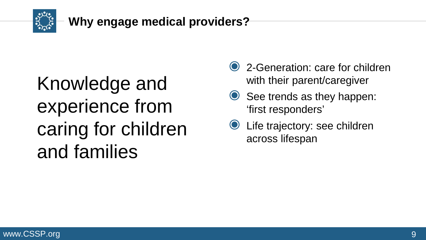

### Knowledge and experience from caring for children and families

- 2-Generation: care for children with their parent/caregiver
- See trends as they happen: 'first responders'
- ◉ Life trajectory: see children across lifespan

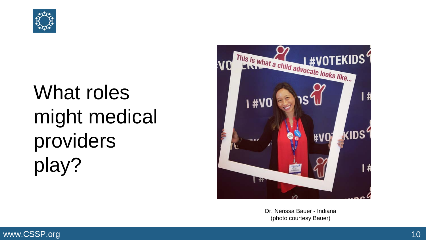

# What roles might medical providers play?



Dr. Nerissa Bauer - Indiana (photo courtesy Bauer)

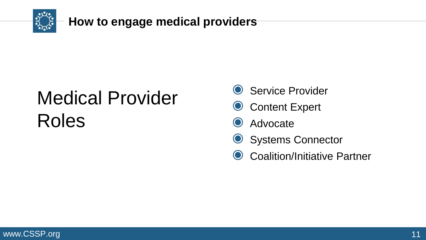

### Medical Provider Roles

- **◎ Service Provider**
- **◎ Content Expert**
- Advocate
- Systems Connector
- **◯ Coalition/Initiative Partner**

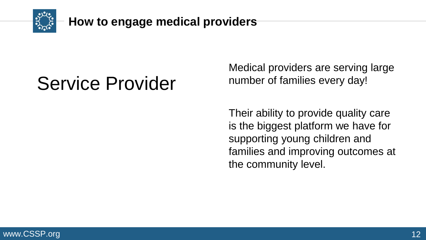

### Service Provider

Medical providers are serving large number of families every day!

Their ability to provide quality care is the biggest platform we have for supporting young children and families and improving outcomes at the community level.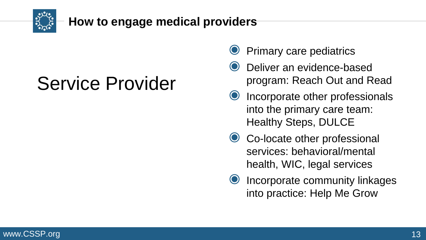

### Service Provider

- Primary care pediatrics
- Deliver an evidence-based program: Reach Out and Read
- Incorporate other professionals into the primary care team: Healthy Steps, DULCE
- Co-locate other professional services: behavioral/mental health, WIC, legal services
- Incorporate community linkages into practice: Help Me Grow

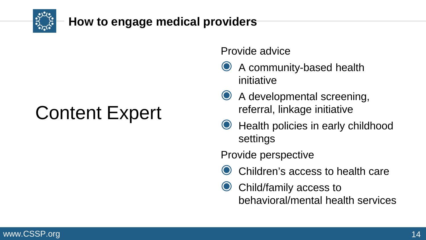

### Content Expert

Provide advice

- ◉ A community-based health initiative
- ◉ A developmental screening, referral, linkage initiative
- ◉ Health policies in early childhood settings

Provide perspective

- ◉ Children's access to health care
- Child/family access to behavioral/mental health services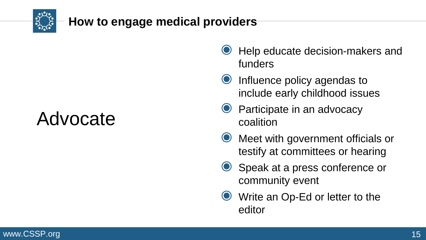

### Advocate

- ◉ Help educate decision-makers and funders
- ◉ Influence policy agendas to include early childhood issues
- ◉ Participate in an advocacy coalition
- ◉ Meet with government officials or testify at committees or hearing
- ◉ Speak at a press conference or community event
- ◉ Write an Op-Ed or letter to the editor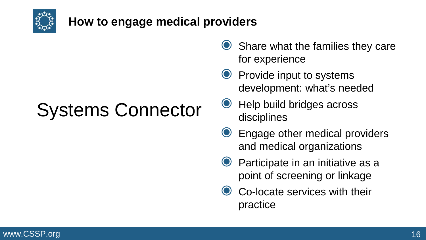

### Systems Connector

- **◯ Share what the families they care** for experience
- ◉ Provide input to systems development: what's needed
- ◉ Help build bridges across disciplines
- ◉ Engage other medical providers and medical organizations
- Participate in an initiative as a point of screening or linkage
- Co-locate services with their practice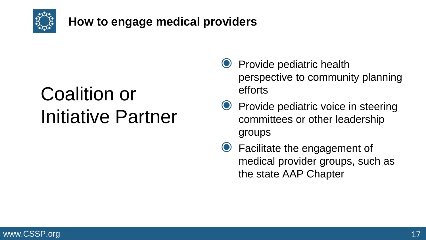

### Coalition or Initiative Partner

- ◉ Provide pediatric health perspective to community planning efforts
- ◉ Provide pediatric voice in steering committees or other leadership groups
- ◉ Facilitate the engagement of medical provider groups, such as the state AAP Chapter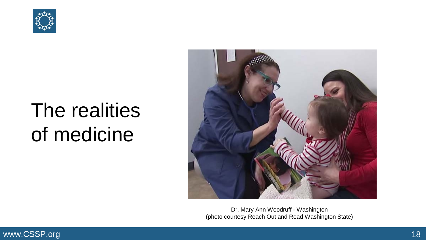

## The realities of medicine



Dr. Mary Ann Woodruff - Washington (photo courtesy Reach Out and Read Washington State)

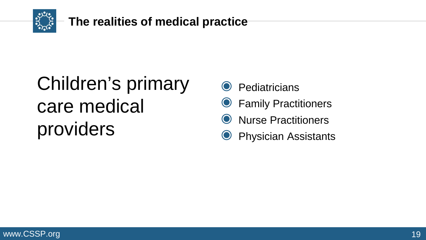

## Children's primary care medical providers

- **Pediatricians**
- **Family Practitioners**
- ◉ Nurse Practitioners
- **Physician Assistants**

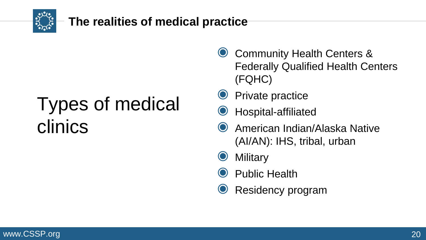

#### **The realities of medical practice**

### Types of medical clinics

- ◉ Community Health Centers & Federally Qualified Health Centers (FQHC)
- **Private practice**
- ◉ Hospital-affiliated
- ◉ American Indian/Alaska Native (AI/AN): IHS, tribal, urban
- **Military**
- ◉ Public Health
- **◎ Residency program**

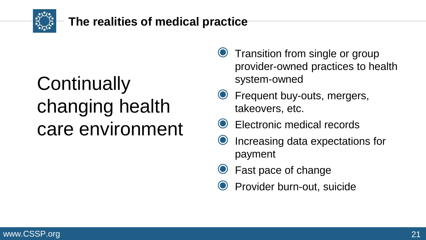

#### **The realities of medical practice**

### **Continually** changing health care environment

- ◉ Transition from single or group provider-owned practices to health system-owned
- Frequent buy-outs, mergers, takeovers, etc.
- Electronic medical records
- ◉ Increasing data expectations for payment
- Fast pace of change
- ◉ Provider burn-out, suicide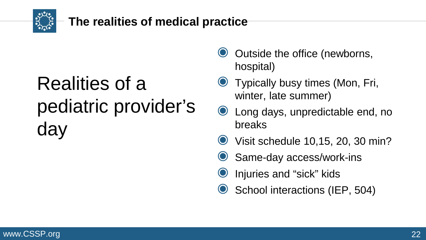

#### **The realities of medical practice**

## Realities of a pediatric provider's day

- Outside the office (newborns, hospital)
- ◉ Typically busy times (Mon, Fri, winter, late summer)
- ◉ Long days, unpredictable end, no breaks
- Visit schedule 10,15, 20, 30 min?
- Same-day access/work-ins
- Injuries and "sick" kids
- School interactions (IEP, 504)

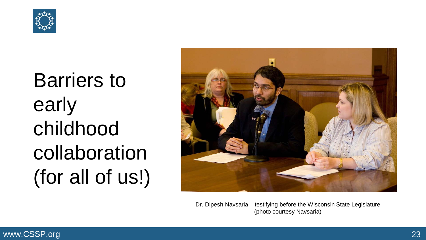

# Barriers to early childhood collaboration (for all of us!)



Dr. Dipesh Navsaria – testifying before the Wisconsin State Legislature (photo courtesy Navsaria)

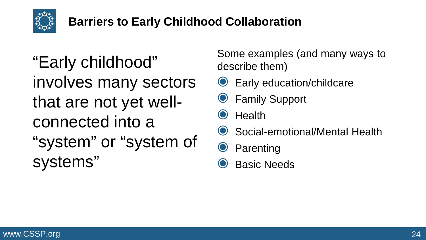

#### **Barriers to Early Childhood Collaboration**

"Early childhood" involves many sectors that are not yet wellconnected into a "system" or "system of systems"

Some examples (and many ways to describe them)

- ◉ Early education/childcare
- ◉ Family Support

**Health** 

Social-emotional/Mental Health

**Parenting** 

**Basic Needs** 

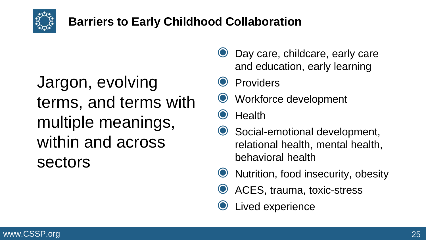

#### **Barriers to Early Childhood Collaboration**

Jargon, evolving terms, and terms with multiple meanings, within and across sectors

- ◉ Day care, childcare, early care and education, early learning
- **Providers**
- ◉ Workforce development

**Health** 

- ◉ Social-emotional development, relational health, mental health, behavioral health
- Nutrition, food insecurity, obesity
- ACES, trauma, toxic-stress
- Lived experience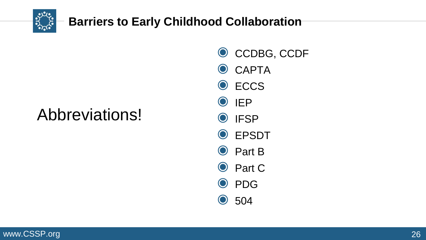

#### **Barriers to Early Childhood Collaboration**

### Abbreviations!

- ◉ CCDBG, CCDF
- O CAPTA
- ◉ ECCS
- ◉ IEP
- ◉ IFSP
- ◉ EPSDT
- ◉ Part B
- ◉ Part C
- ◉ PDG
- ◉ 504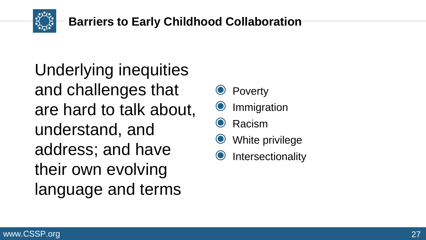

Underlying inequities and challenges that are hard to talk about, understand, and address; and have their own evolving language and terms

- **Poverty**
- **Immigration**
- **Racism**
- White privilege
- **Intersectionality**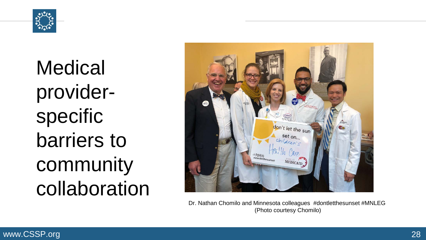

**Medical** providerspecific barriers to community collaboration



Dr. Nathan Chomilo and Minnesota colleagues #dontletthesunset #MNLEG (Photo courtesy Chomilo)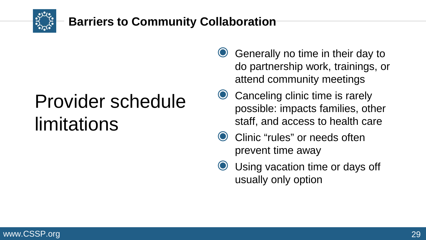

#### **Barriers to Community Collaboration**

### Provider schedule limitations

- ◉ Generally no time in their day to do partnership work, trainings, or attend community meetings
- Canceling clinic time is rarely possible: impacts families, other staff, and access to health care
- Clinic "rules" or needs often prevent time away
- Using vacation time or days off usually only option

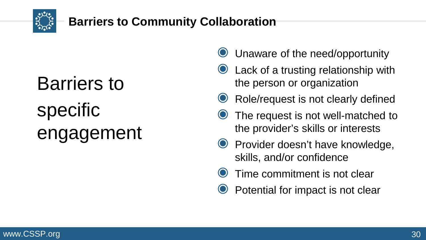

#### **Barriers to Community Collaboration**

# Barriers to specific engagement

- Unaware of the need/opportunity
- ◉ Lack of a trusting relationship with the person or organization
- Role/request is not clearly defined
- The request is not well-matched to the provider's skills or interests
- ◉ Provider doesn't have knowledge, skills, and/or confidence
- Time commitment is not clear
- ◉ Potential for impact is not clear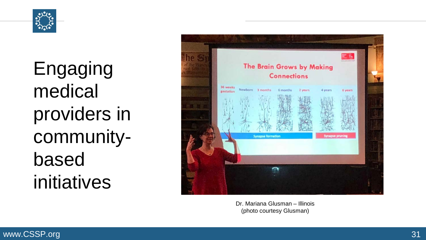

Engaging medical providers in community based initiatives



Dr. Mariana Glusman – Illinois (photo courtesy Glusman )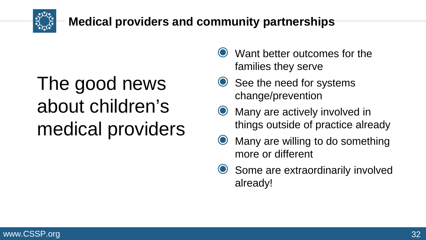

## The good news about children's medical providers

- Want better outcomes for the families they serve
- See the need for systems change/prevention
- Many are actively involved in things outside of practice already
- ◉ Many are willing to do something more or different
- **◯ Some are extraordinarily involved** already!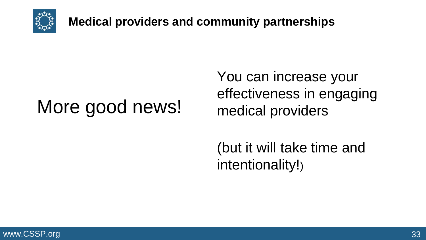

### More good news!

You can increase your effectiveness in engaging medical providers

(but it will take time and intentionality!)

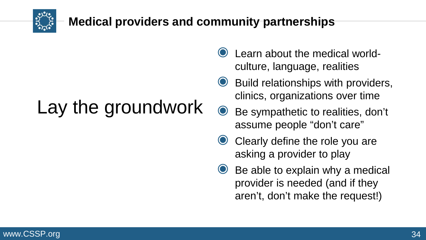

## Lay the groundwork

- Learn about the medical worldculture, language, realities
- ◉ Build relationships with providers, clinics, organizations over time
- ◉ Be sympathetic to realities, don't assume people "don't care"
- Clearly define the role you are asking a provider to play
- $\bullet$  Be able to explain why a medical provider is needed (and if they aren't, don't make the request!)

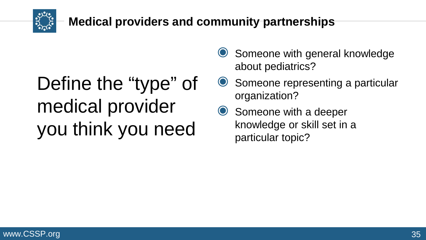

### Define the "type" of medical provider you think you need

- **◯ Someone with general knowledge** about pediatrics?
- Someone representing a particular organization?
- Someone with a deeper knowledge or skill set in a particular topic?

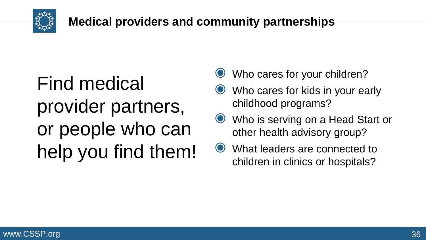

### Find medical provider partners, or people who can help you find them!

- Who cares for your children?
- Who cares for kids in your early childhood programs?
- ◉ Who is serving on a Head Start or other health advisory group?
- ◉ What leaders are connected to children in clinics or hospitals?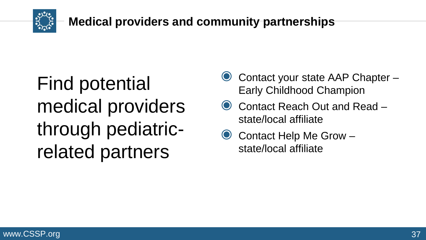

### Find potential medical providers through pediatricrelated partners

- ◉ Contact your state AAP Chapter Early Childhood Champion
- Contact Reach Out and Read state/local affiliate
- ◉ Contact Help Me Grow state/local affiliate

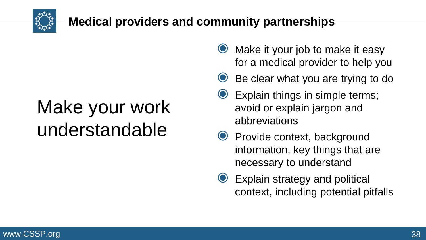

### Make your work understandable

- ◉ Make it your job to make it easy for a medical provider to help you
- ◉ Be clear what you are trying to do
- ◉ Explain things in simple terms; avoid or explain jargon and abbreviations
- ◉ Provide context, background information, key things that are necessary to understand
- Explain strategy and political context, including potential pitfalls

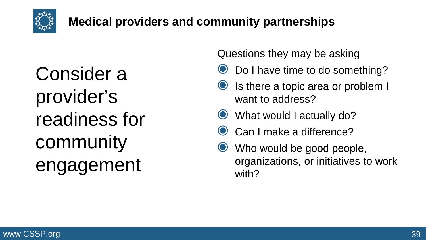

Consider a provider's readiness for community engagement

Questions they may be asking

- Do I have time to do something?
- ◉ Is there a topic area or problem I want to address?
- What would I actually do?
- Can I make a difference?
- Who would be good people, organizations, or initiatives to work with?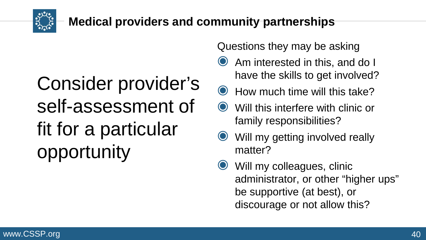

### Consider provider's self-assessment of fit for a particular opportunity

Questions they may be asking

- ◉ Am interested in this, and do I have the skills to get involved?
- $\odot$  How much time will this take?
- Will this interfere with clinic or family responsibilities?
- Will my getting involved really matter?
- Will my colleagues, clinic administrator, or other "higher ups" be supportive (at best), or discourage or not allow this?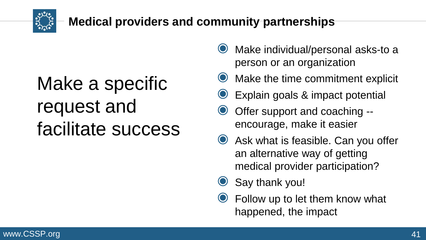

### Make a specific request and facilitate success

- ◉ Make individual/personal asks-to a person or an organization
- Make the time commitment explicit
- ◉ Explain goals & impact potential
- Offer support and coaching -encourage, make it easier
- ◉ Ask what is feasible. Can you offer an alternative way of getting medical provider participation?
- Say thank you!
- ◉ Follow up to let them know what happened, the impact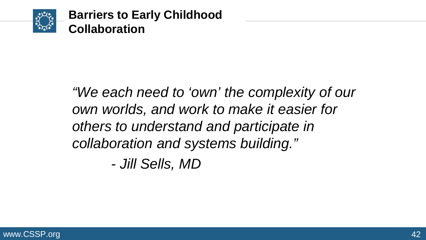

### *"We each need to 'own' the complexity of our own worlds, and work to make it easier for others to understand and participate in collaboration and systems building."*

*- Jill Sells, MD*

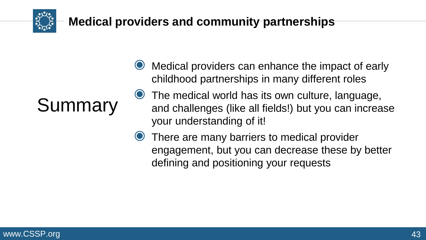

## Summary

- Medical providers can enhance the impact of early childhood partnerships in many different roles
- ◉ The medical world has its own culture, language, and challenges (like all fields!) but you can increase your understanding of it!
- There are many barriers to medical provider engagement, but you can decrease these by better defining and positioning your requests

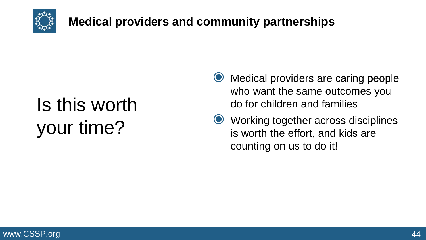

# Is this worth your time?

- ◉ Medical providers are caring people who want the same outcomes you do for children and families
- ◉ Working together across disciplines is worth the effort, and kids are counting on us to do it!

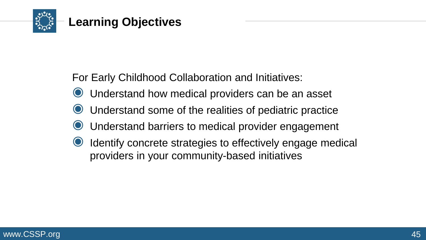

For Early Childhood Collaboration and Initiatives:

- ◉ Understand how medical providers can be an asset
- Understand some of the realities of pediatric practice
- Understand barriers to medical provider engagement
- Identify concrete strategies to effectively engage medical providers in your community-based initiatives

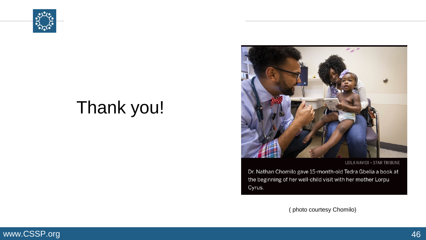

### Thank you!



LEILA NAVIDI · STAR TRIBUNE

Dr. Nathan Chomilo gave 15-month-old Tedra Gbelia a book at the beginning of her well-child visit with her mother Lorpu Cyrus.

( photo courtesy Chomilo)

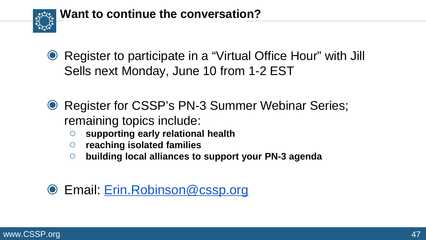

- ◉ Register to participate in a "Virtual Office Hour" with Jill Sells next Monday, June 10 from 1-2 EST
- **Register for CSSP's PN-3 Summer Webinar Series;** remaining topics include:
	- **supporting early relational health**
	- **reaching isolated families**
	- **building local alliances to support your PN-3 agenda**

#### ◉ Email: [Erin.Robinson@cssp.org](mailto:Erin.Robinson@cssp.org)